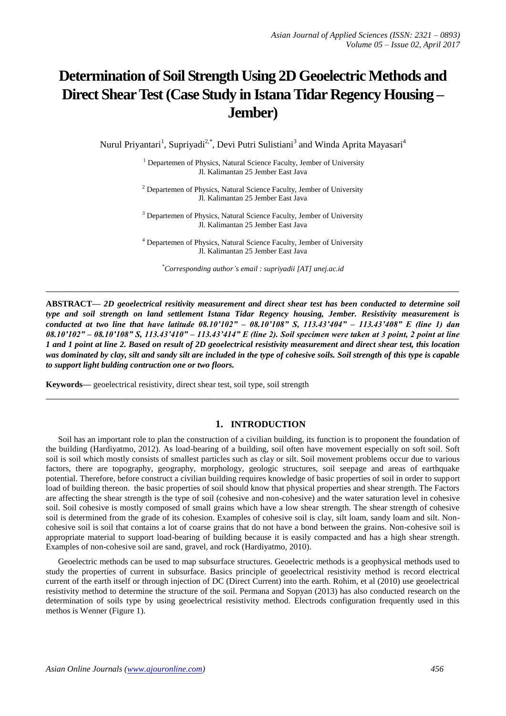# **Determination of Soil Strength Using 2D Geoelectric Methods and Direct Shear Test (Case Study in Istana Tidar Regency Housing – Jember)**

Nurul Priyantari<sup>1</sup>, Supriyadi<sup>2,\*</sup>, Devi Putri Sulistiani<sup>3</sup> and Winda Aprita Mayasari<sup>4</sup>

<sup>1</sup> Departemen of Physics, Natural Science Faculty, Jember of University Jl. Kalimantan 25 Jember East Java

<sup>2</sup> Departemen of Physics, Natural Science Faculty, Jember of University Jl. Kalimantan 25 Jember East Java

<sup>3</sup> Departemen of Physics, Natural Science Faculty, Jember of University Jl. Kalimantan 25 Jember East Java

<sup>4</sup> Departemen of Physics, Natural Science Faculty, Jember of University Jl. Kalimantan 25 Jember East Java

*\*Corresponding author's email : supriyadii [AT] unej.ac.id*

**\_\_\_\_\_\_\_\_\_\_\_\_\_\_\_\_\_\_\_\_\_\_\_\_\_\_\_\_\_\_\_\_\_\_\_\_\_\_\_\_\_\_\_\_\_\_\_\_\_\_\_\_\_\_\_\_\_\_\_\_\_\_\_\_\_\_\_\_\_\_\_\_\_\_\_\_\_\_\_\_\_**

**ABSTRACT—** *2D geoelectrical resitivity measurement and direct shear test has been conducted to determine soil type and soil strength on land settlement Istana Tidar Regency housing, Jember. Resistivity measurement is conducted at two line that have latitude 08.10'102" – 08.10'108" S, 113.43'404" – 113.43'408" E (line 1) dan 08.10'102" – 08.10'108" S, 113.43'410" – 113.43'414" E (line 2). Soil specimen were taken at 3 point, 2 point at line 1 and 1 point at line 2. Based on result of 2D geoelectrical resistivity measurement and direct shear test, this location was dominated by clay, silt and sandy silt are included in the type of cohesive soils. Soil strength of this type is capable to support light bulding contruction one or two floors.*

**\_\_\_\_\_\_\_\_\_\_\_\_\_\_\_\_\_\_\_\_\_\_\_\_\_\_\_\_\_\_\_\_\_\_\_\_\_\_\_\_\_\_\_\_\_\_\_\_\_\_\_\_\_\_\_\_\_\_\_\_\_\_\_\_\_\_\_\_\_\_\_\_\_\_\_\_\_\_\_\_\_**

**Keywords—** geoelectrical resistivity, direct shear test, soil type, soil strength

## **1. INTRODUCTION**

Soil has an important role to plan the construction of a civilian building, its function is to proponent the foundation of the building (Hardiyatmo, 2012). As load-bearing of a building, soil often have movement especially on soft soil. Soft soil is soil which mostly consists of smallest particles such as clay or silt. Soil movement problems occur due to various factors, there are topography, geography, morphology, geologic structures, soil seepage and areas of earthquake potential. Therefore, before construct a civilian building requires knowledge of basic properties of soil in order to support load of building thereon. the basic properties of soil should know that physical properties and shear strength. The Factors are affecting the shear strength is the type of soil (cohesive and non-cohesive) and the water saturation level in cohesive soil. Soil cohesive is mostly composed of small grains which have a low shear strength. The shear strength of cohesive soil is determined from the grade of its cohesion. Examples of cohesive soil is clay, silt loam, sandy loam and silt. Noncohesive soil is soil that contains a lot of coarse grains that do not have a bond between the grains. Non-cohesive soil is appropriate material to support load-bearing of building because it is easily compacted and has a high shear strength. Examples of non-cohesive soil are sand, gravel, and rock (Hardiyatmo, 2010).

Geoelectric methods can be used to map subsurface structures. Geoelectric methods is a geophysical methods used to study the properties of current in subsurface. Basics principle of geoelectrical resistivity method is record electrical current of the earth itself or through injection of DC (Direct Current) into the earth. Rohim, et al (2010) use geoelectrical resistivity method to determine the structure of the soil. Permana and Sopyan (2013) has also conducted research on the determination of soils type by using geoelectrical resistivity method. Electrods configuration frequently used in this methos is Wenner (Figure 1).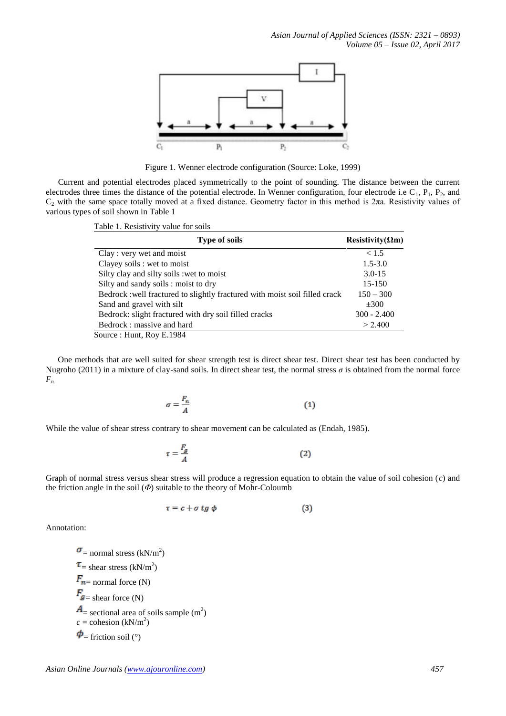

Figure 1. Wenner electrode configuration (Source: Loke, 1999)

Current and potential electrodes placed symmetrically to the point of sounding. The distance between the current electrodes three times the distance of the potential electrode. In Wenner configuration, four electrode i.e  $C_1$ ,  $P_1$ ,  $P_2$ , and  $C_2$  with the same space totally moved at a fixed distance. Geometry factor in this method is 2πa. Resistivity values of various types of soil shown in Table 1

Table 1. Resistivity value for soils

| <b>Type of soils</b>                                                        | Resistivity( $\Omega$ m) |
|-----------------------------------------------------------------------------|--------------------------|
| Clay : very wet and moist                                                   | < 1.5                    |
| Clayey soils : wet to moist                                                 | $1.5 - 3.0$              |
| Silty clay and silty soils : wet to moist                                   | $3.0 - 15$               |
| Silty and sandy soils : moist to dry                                        | 15-150                   |
| Bedrock : well fractured to slightly fractured with moist soil filled crack | $150 - 300$              |
| Sand and gravel with silt                                                   | $\pm 300$                |
| Bedrock: slight fractured with dry soil filled cracks                       | $300 - 2.400$            |
| Bedrock: massive and hard                                                   | > 2.400                  |
| Source: Hunt, Roy E.1984                                                    |                          |

One methods that are well suited for shear strength test is direct shear test. Direct shear test has been conducted by Nugroho (2011) in a mixture of clay-sand soils. In direct shear test, the normal stress  $\sigma$  is obtained from the normal force *Fn.*

$$
\sigma = \frac{F_n}{A} \tag{1}
$$

While the value of shear stress contrary to shear movement can be calculated as (Endah, 1985).

$$
\tau = \frac{F_g}{A} \tag{2}
$$

Graph of normal stress versus shear stress will produce a regression equation to obtain the value of soil cohesion (*c*) and the friction angle in the soil (*Φ*) suitable to the theory of Mohr-Coloumb

$$
\tau = c + \sigma \, t \, g \, \phi \tag{3}
$$

Annotation:

 $=$  normal stress (kN/m<sup>2</sup>)  $=$  shear stress (kN/m<sup>2</sup>)  $F_{n=}$  normal force (N)  $F_{\mathbf{g}} = \text{shear force (N)}$  $=$  sectional area of soils sample  $(m<sup>2</sup>)$  $c = \text{cohesion (kN/m}^2)$  $\phi$  = friction soil (°)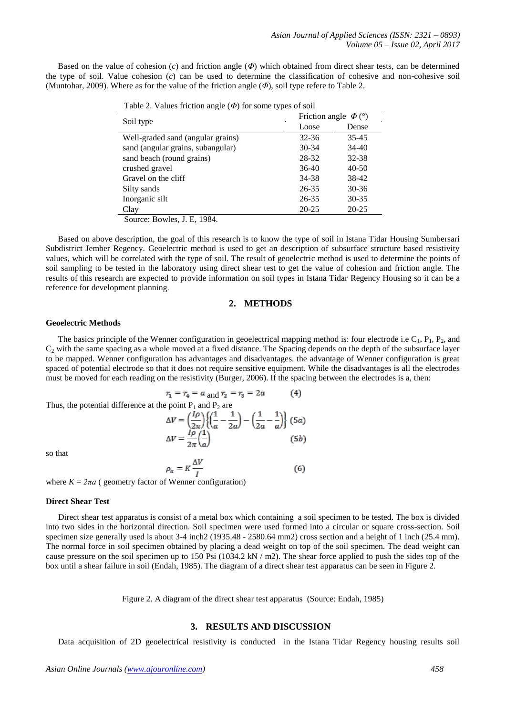Based on the value of cohesion (*c*) and friction angle (*Φ*) which obtained from direct shear tests, can be determined the type of soil. Value cohesion (*c*) can be used to determine the classification of cohesive and non-cohesive soil (Muntohar, 2009). Where as for the value of the friction angle (*Φ*), soil type refere to Table 2.

| $1$ able 2. Values including angle ( $\Psi$ ) for some types of some |                           |           |  |  |
|----------------------------------------------------------------------|---------------------------|-----------|--|--|
|                                                                      | Friction angle $\Phi$ (°) |           |  |  |
| Soil type                                                            | Loose                     | Dense     |  |  |
| Well-graded sand (angular grains)                                    | $32 - 36$                 | $35 - 45$ |  |  |
| sand (angular grains, subangular)                                    | 30-34                     | 34-40     |  |  |
| sand beach (round grains)                                            | 28-32                     | $32 - 38$ |  |  |
| crushed gravel                                                       | $36-40$                   | 40-50     |  |  |
| Gravel on the cliff                                                  | 34-38                     | 38-42     |  |  |
| Silty sands                                                          | 26-35                     | $30 - 36$ |  |  |
| Inorganic silt                                                       | 26-35                     | $30 - 35$ |  |  |
| Clay                                                                 | 20-25                     | 20-25     |  |  |
| Source: Bowles, J. E. 1984.                                          |                           |           |  |  |

Table 2. Values friction angle (*Φ*) for some types of soil

Based on above description, the goal of this research is to know the type of soil in Istana Tidar Housing Sumbersari Subdistrict Jember Regency. Geoelectric method is used to get an description of subsurface structure based resistivity values, which will be correlated with the type of soil. The result of geoelectric method is used to determine the points of soil sampling to be tested in the laboratory using direct shear test to get the value of cohesion and friction angle. The results of this research are expected to provide information on soil types in Istana Tidar Regency Housing so it can be a reference for development planning.

## **2. METHODS**

#### **Geoelectric Methods**

The basics principle of the Wenner configuration in geoelectrical mapping method is: four electrode i.e  $C_1$ ,  $P_1$ ,  $P_2$ , and  $C_2$  with the same spacing as a whole moved at a fixed distance. The Spacing depends on the depth of the subsurface layer to be mapped. Wenner configuration has advantages and disadvantages. the advantage of Wenner configuration is great spaced of potential electrode so that it does not require sensitive equipment. While the disadvantages is all the electrodes must be moved for each reading on the resistivity (Burger, 2006). If the spacing between the electrodes is a, then:

Thus, the potential difference at the point P<sub>1</sub> and P<sub>2</sub> are  
\n
$$
\Delta V = \left(\frac{l\rho}{2\pi}\right) \left\{ \left(\frac{1}{a} - \frac{1}{2a}\right) - \left(\frac{1}{2a} - \frac{1}{a}\right) \right\} (5a)
$$
\n
$$
\Delta V = \frac{l\rho}{2\pi} \left(\frac{1}{a}\right) \tag{5b}
$$

so that

$$
\rho_a = K \frac{\Delta V}{I}
$$
 (6)

where  $K = 2\pi a$  ( geometry factor of Wenner configuration)

#### **Direct Shear Test**

Direct shear test apparatus is consist of a metal box which containing a soil specimen to be tested. The box is divided into two sides in the horizontal direction. Soil specimen were used formed into a circular or square cross-section. Soil specimen size generally used is about 3-4 inch2 (1935.48 - 2580.64 mm2) cross section and a height of 1 inch (25.4 mm). The normal force in soil specimen obtained by placing a dead weight on top of the soil specimen. The dead weight can cause pressure on the soil specimen up to 150 Psi  $(1034.2 \text{ kN} / \text{m2})$ . The shear force applied to push the sides top of the box until a shear failure in soil (Endah, 1985). The diagram of a direct shear test apparatus can be seen in Figure 2.

Figure 2. A diagram of the direct shear test apparatus (Source: Endah, 1985)

#### **3. RESULTS AND DISCUSSION**

Data acquisition of 2D geoelectrical resistivity is conducted in the Istana Tidar Regency housing results soil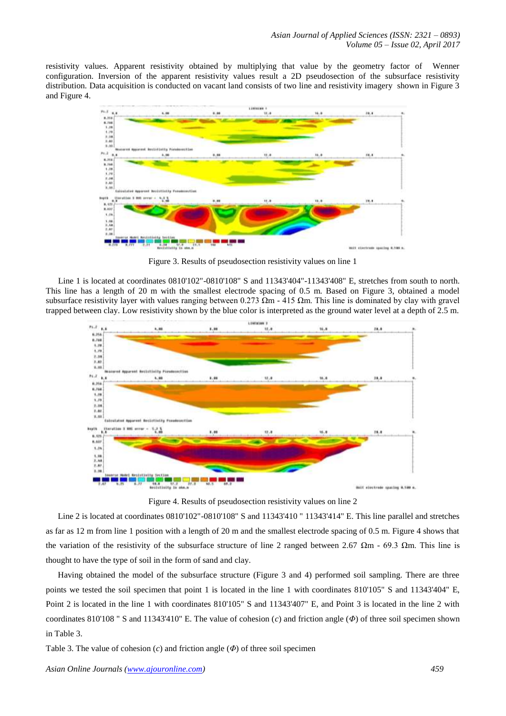resistivity values. Apparent resistivity obtained by multiplying that value by the geometry factor of Wenner configuration. Inversion of the apparent resistivity values result a 2D pseudosection of the subsurface resistivity distribution. Data acquisition is conducted on vacant land consists of two line and resistivity imagery shown in Figure 3 and Figure 4.



Figure 3. Results of pseudosection resistivity values on line 1

Line 1 is located at coordinates 0810'102"-0810'108" S and 11343'404"-11343'408" E, stretches from south to north. This line has a length of 20 m with the smallest electrode spacing of 0.5 m. Based on Figure 3, obtained a model subsurface resistivity layer with values ranging between 0.273 Ωm - 415 Ωm. This line is dominated by clay with gravel trapped between clay. Low resistivity shown by the blue color is interpreted as the ground water level at a depth of 2.5 m.



Figure 4. Results of pseudosection resistivity values on line 2

Line 2 is located at coordinates 0810'102"-0810'108" S and 11343'410 " 11343'414" E. This line parallel and stretches as far as 12 m from line 1 position with a length of 20 m and the smallest electrode spacing of 0.5 m. Figure 4 shows that the variation of the resistivity of the subsurface structure of line 2 ranged between 2.67  $\Omega$ m - 69.3  $\Omega$ m. This line is thought to have the type of soil in the form of sand and clay.

Having obtained the model of the subsurface structure (Figure 3 and 4) performed soil sampling. There are three points we tested the soil specimen that point 1 is located in the line 1 with coordinates 810'105" S and 11343'404" E, Point 2 is located in the line 1 with coordinates 810'105" S and 11343'407" E, and Point 3 is located in the line 2 with coordinates 810'108 " S and 11343'410" E. The value of cohesion (*c*) and friction angle (*Φ*) of three soil specimen shown in Table 3.

Table 3. The value of cohesion (*c*) and friction angle (*Φ*) of three soil specimen